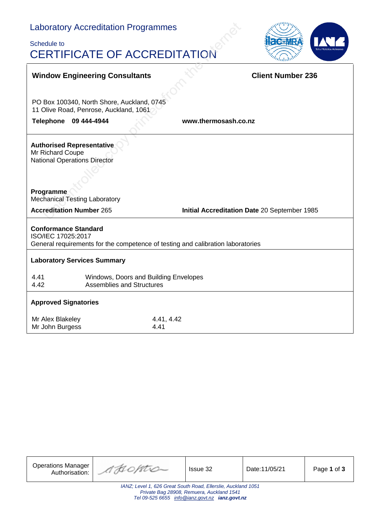# Laboratory Accreditation Programmes

ĭ

## Schedule to CERTIFICATE OF ACCREDITATION



|                                                                                                                                                  | <b>Window Engineering Consultants</b>                                           |                    | <b>Client Number 236</b> |  |
|--------------------------------------------------------------------------------------------------------------------------------------------------|---------------------------------------------------------------------------------|--------------------|--------------------------|--|
|                                                                                                                                                  | PO Box 100340, North Shore, Auckland, 0745                                      |                    |                          |  |
|                                                                                                                                                  | 11 Olive Road, Penrose, Auckland, 1061                                          |                    |                          |  |
| <b>Telephone</b>                                                                                                                                 | www.thermosash.co.nz<br>09 444-4944                                             |                    |                          |  |
| <b>Authorised Representative</b><br>Mr Richard Coupe<br><b>National Operations Director</b><br>Programme<br><b>Mechanical Testing Laboratory</b> |                                                                                 |                    |                          |  |
|                                                                                                                                                  | <b>Accreditation Number 265</b><br>Initial Accreditation Date 20 September 1985 |                    |                          |  |
| <b>Conformance Standard</b><br>ISO/IEC 17025:2017<br>General requirements for the competence of testing and calibration laboratories             |                                                                                 |                    |                          |  |
| <b>Laboratory Services Summary</b>                                                                                                               |                                                                                 |                    |                          |  |
| 4.41<br>4.42                                                                                                                                     | Windows, Doors and Building Envelopes<br><b>Assemblies and Structures</b>       |                    |                          |  |
| <b>Approved Signatories</b>                                                                                                                      |                                                                                 |                    |                          |  |
| Mr Alex Blakeley<br>Mr John Burgess                                                                                                              |                                                                                 | 4.41, 4.42<br>4.41 |                          |  |

| <b>Operations Manager</b><br>Authorisation:                                                                                                                  | AHOPTIO | Issue 32 | Date: 11/05/21 | Page 1 of 3 |
|--------------------------------------------------------------------------------------------------------------------------------------------------------------|---------|----------|----------------|-------------|
| IANZ; Level 1, 626 Great South Road, Ellerslie, Auckland 1051<br>Private Bag 28908, Remuera, Auckland 1541<br>Tel 09-525 6655 info@ianz.govt.nz ianz.govt.nz |         |          |                |             |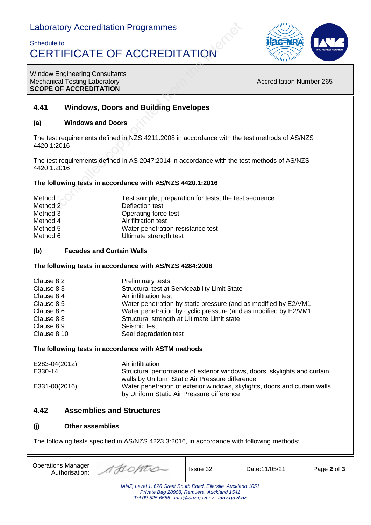### Laboratory Accreditation Programmes

## Schedule to CERTIFICATE OF ACCREDITATION



Window Engineering Consultants Mechanical Testing Laboratory **Accreditation Number 265** Mechanical Testing Laboratory **SCOPE OF ACCREDITATION**

### **4.41 Windows, Doors and Building Envelopes**

#### **(a) Windows and Doors**

The test requirements defined in NZS 4211:2008 in accordance with the test methods of AS/NZS 4420.1:2016

The test requirements defined in AS 2047:2014 in accordance with the test methods of AS/NZS 4420.1:2016

#### **The following tests in accordance with AS/NZS 4420.1:2016**

| Method 1 | Test sample, preparation for tests, the test sequence |
|----------|-------------------------------------------------------|
| Method 2 | Deflection test                                       |
| Method 3 | Operating force test                                  |
| Method 4 | Air filtration test                                   |
| Method 5 | Water penetration resistance test                     |
| Method 6 | Ultimate strength test                                |

#### **(b) Facades and Curtain Walls**

#### **The following tests in accordance with AS/NZS 4284:2008**

| Clause 8.2  | <b>Preliminary tests</b>                                        |
|-------------|-----------------------------------------------------------------|
| Clause 8.3  | Structural test at Serviceability Limit State                   |
| Clause 8.4  | Air infiltration test                                           |
| Clause 8.5  | Water penetration by static pressure (and as modified by E2/VM1 |
| Clause 8.6  | Water penetration by cyclic pressure (and as modified by E2/VM1 |
| Clause 8.8  | Structural strength at Ultimate Limit state                     |
| Clause 8.9  | Seismic test                                                    |
| Clause 8.10 | Seal degradation test                                           |

#### **The following tests in accordance with ASTM methods**

| E283-04(2012) | Air infiltration                                                                                                            |
|---------------|-----------------------------------------------------------------------------------------------------------------------------|
| E330-14       | Structural performance of exterior windows, doors, skylights and curtain<br>walls by Uniform Static Air Pressure difference |
| E331-00(2016) | Water penetration of exterior windows, skylights, doors and curtain walls<br>by Uniform Static Air Pressure difference      |

### **4.42 Assemblies and Structures**

#### **(j) Other assemblies**

The following tests specified in AS/NZS 4223.3:2016, in accordance with following methods:

| <b>Operations Manager</b><br>Authorisation:                                                              | " AHOPTIO | <b>Issue 32</b> | Date:11/05/21 | Page 2 of 3 |  |
|----------------------------------------------------------------------------------------------------------|-----------|-----------------|---------------|-------------|--|
| IANZ; Level 1, 626 Great South Road, Ellerslie, Auckland 1051<br>Drivate Dea 20000 Demusic Augulard 1511 |           |                 |               |             |  |

*Private Bag 28908, Remuera, Auckland 1541 Tel 09-525 6655 [info@ianz.govt.nz](mailto:info@ianz.govt.nz) ianz.govt.nz*